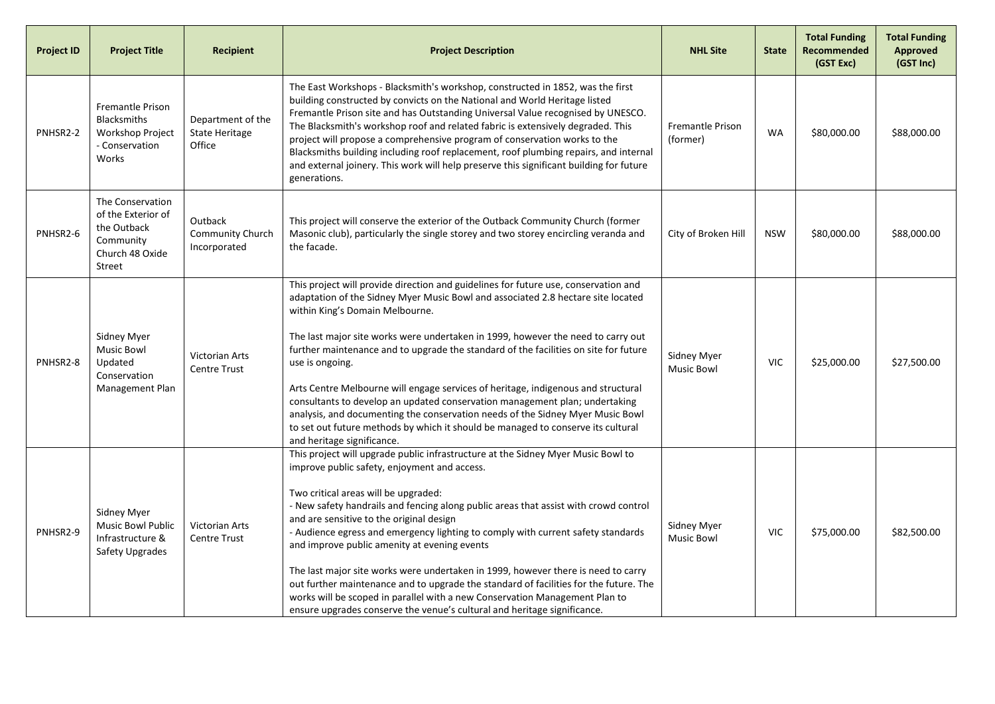| <b>Project ID</b> | <b>Project Title</b>                                                                            | <b>Recipient</b>                                     | <b>Project Description</b>                                                                                                                                                                                                                                                                                                                                                                                                                                                                                                                                                                                                                                                                                                                                                                | <b>NHL Site</b>                         | <b>State</b> | <b>Total Funding</b><br><b>Recommended</b><br>(GST Exc) | <b>Total Funding</b><br><b>Approved</b><br>(GST Inc) |
|-------------------|-------------------------------------------------------------------------------------------------|------------------------------------------------------|-------------------------------------------------------------------------------------------------------------------------------------------------------------------------------------------------------------------------------------------------------------------------------------------------------------------------------------------------------------------------------------------------------------------------------------------------------------------------------------------------------------------------------------------------------------------------------------------------------------------------------------------------------------------------------------------------------------------------------------------------------------------------------------------|-----------------------------------------|--------------|---------------------------------------------------------|------------------------------------------------------|
| PNHSR2-2          | Fremantle Prison<br><b>Blacksmiths</b><br>Workshop Project<br>- Conservation<br>Works           | Department of the<br><b>State Heritage</b><br>Office | The East Workshops - Blacksmith's workshop, constructed in 1852, was the first<br>building constructed by convicts on the National and World Heritage listed<br>Fremantle Prison site and has Outstanding Universal Value recognised by UNESCO.<br>The Blacksmith's workshop roof and related fabric is extensively degraded. This<br>project will propose a comprehensive program of conservation works to the<br>Blacksmiths building including roof replacement, roof plumbing repairs, and internal<br>and external joinery. This work will help preserve this significant building for future<br>generations.                                                                                                                                                                        | <b>Fremantle Prison</b><br>(former)     | <b>WA</b>    | \$80,000.00                                             | \$88,000.00                                          |
| PNHSR2-6          | The Conservation<br>of the Exterior of<br>the Outback<br>Community<br>Church 48 Oxide<br>Street | Outback<br>Community Church<br>Incorporated          | This project will conserve the exterior of the Outback Community Church (former<br>Masonic club), particularly the single storey and two storey encircling veranda and<br>the facade.                                                                                                                                                                                                                                                                                                                                                                                                                                                                                                                                                                                                     | City of Broken Hill                     | <b>NSW</b>   | \$80,000.00                                             | \$88,000.00                                          |
| PNHSR2-8          | Sidney Myer<br>Music Bowl<br>Updated<br>Conservation<br>Management Plan                         | <b>Victorian Arts</b><br><b>Centre Trust</b>         | This project will provide direction and guidelines for future use, conservation and<br>adaptation of the Sidney Myer Music Bowl and associated 2.8 hectare site located<br>within King's Domain Melbourne.<br>The last major site works were undertaken in 1999, however the need to carry out<br>further maintenance and to upgrade the standard of the facilities on site for future<br>use is ongoing.<br>Arts Centre Melbourne will engage services of heritage, indigenous and structural<br>consultants to develop an updated conservation management plan; undertaking<br>analysis, and documenting the conservation needs of the Sidney Myer Music Bowl<br>to set out future methods by which it should be managed to conserve its cultural<br>and heritage significance.         | <b>Sidney Myer</b><br><b>Music Bowl</b> | <b>VIC</b>   | \$25,000.00                                             | \$27,500.00                                          |
| PNHSR2-9          | Sidney Myer<br><b>Music Bowl Public</b><br>Infrastructure &<br>Safety Upgrades                  | Victorian Arts<br><b>Centre Trust</b>                | This project will upgrade public infrastructure at the Sidney Myer Music Bowl to<br>improve public safety, enjoyment and access.<br>Two critical areas will be upgraded:<br>- New safety handrails and fencing along public areas that assist with crowd control<br>and are sensitive to the original design<br>- Audience egress and emergency lighting to comply with current safety standards<br>and improve public amenity at evening events<br>The last major site works were undertaken in 1999, however there is need to carry<br>out further maintenance and to upgrade the standard of facilities for the future. The<br>works will be scoped in parallel with a new Conservation Management Plan to<br>ensure upgrades conserve the venue's cultural and heritage significance. | Sidney Myer<br><b>Music Bowl</b>        | <b>VIC</b>   | \$75,000.00                                             | \$82,500.00                                          |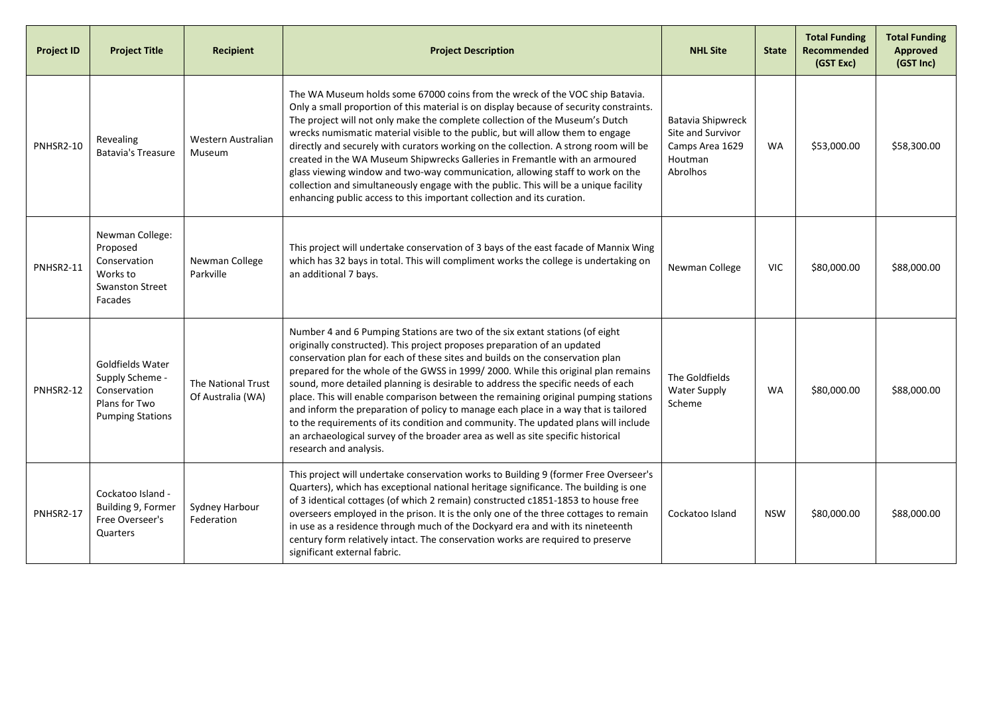| <b>Project ID</b> | <b>Project Title</b>                                                                            | <b>Recipient</b>                        | <b>Project Description</b>                                                                                                                                                                                                                                                                                                                                                                                                                                                                                                                                                                                                                                                                                                                                                                          | <b>NHL Site</b>                                                                         | <b>State</b> | <b>Total Funding</b><br>Recommended<br>(GST Exc) | <b>Total Funding</b><br><b>Approved</b><br>(GST Inc) |
|-------------------|-------------------------------------------------------------------------------------------------|-----------------------------------------|-----------------------------------------------------------------------------------------------------------------------------------------------------------------------------------------------------------------------------------------------------------------------------------------------------------------------------------------------------------------------------------------------------------------------------------------------------------------------------------------------------------------------------------------------------------------------------------------------------------------------------------------------------------------------------------------------------------------------------------------------------------------------------------------------------|-----------------------------------------------------------------------------------------|--------------|--------------------------------------------------|------------------------------------------------------|
| PNHSR2-10         | <b>Revealing</b><br><b>Batavia's Treasure</b>                                                   | Western Australian<br>Museum            | The WA Museum holds some 67000 coins from the wreck of the VOC ship Batavia.<br>Only a small proportion of this material is on display because of security constraints.<br>The project will not only make the complete collection of the Museum's Dutch<br>wrecks numismatic material visible to the public, but will allow them to engage<br>directly and securely with curators working on the collection. A strong room will be<br>created in the WA Museum Shipwrecks Galleries in Fremantle with an armoured<br>glass viewing window and two-way communication, allowing staff to work on the<br>collection and simultaneously engage with the public. This will be a unique facility<br>enhancing public access to this important collection and its curation.                                | <b>Batavia Shipwreck</b><br>Site and Survivor<br>Camps Area 1629<br>Houtman<br>Abrolhos | <b>WA</b>    | \$53,000.00                                      | \$58,300.00                                          |
| PNHSR2-11         | Newman College:<br>Proposed<br>Conservation<br>Works to<br><b>Swanston Street</b><br>Facades    | Newman College<br>Parkville             | This project will undertake conservation of 3 bays of the east facade of Mannix Wing<br>which has 32 bays in total. This will compliment works the college is undertaking on<br>an additional 7 bays.                                                                                                                                                                                                                                                                                                                                                                                                                                                                                                                                                                                               | Newman College                                                                          | <b>VIC</b>   | \$80,000.00                                      | \$88,000.00                                          |
| <b>PNHSR2-12</b>  | Goldfields Water<br>Supply Scheme -<br>Conservation<br>Plans for Two<br><b>Pumping Stations</b> | The National Trust<br>Of Australia (WA) | Number 4 and 6 Pumping Stations are two of the six extant stations (of eight<br>originally constructed). This project proposes preparation of an updated<br>conservation plan for each of these sites and builds on the conservation plan<br>prepared for the whole of the GWSS in 1999/2000. While this original plan remains<br>sound, more detailed planning is desirable to address the specific needs of each<br>place. This will enable comparison between the remaining original pumping stations<br>and inform the preparation of policy to manage each place in a way that is tailored<br>to the requirements of its condition and community. The updated plans will include<br>an archaeological survey of the broader area as well as site specific historical<br>research and analysis. | The Goldfields<br><b>Water Supply</b><br>Scheme                                         | <b>WA</b>    | \$80,000.00                                      | \$88,000.00                                          |
| PNHSR2-17         | Cockatoo Island -<br>Building 9, Former<br>Free Overseer's<br>Quarters                          | Sydney Harbour<br>Federation            | This project will undertake conservation works to Building 9 (former Free Overseer's<br>Quarters), which has exceptional national heritage significance. The building is one<br>of 3 identical cottages (of which 2 remain) constructed c1851-1853 to house free<br>overseers employed in the prison. It is the only one of the three cottages to remain<br>in use as a residence through much of the Dockyard era and with its nineteenth<br>century form relatively intact. The conservation works are required to preserve<br>significant external fabric.                                                                                                                                                                                                                                       | Cockatoo Island                                                                         | <b>NSW</b>   | \$80,000.00                                      | \$88,000.00                                          |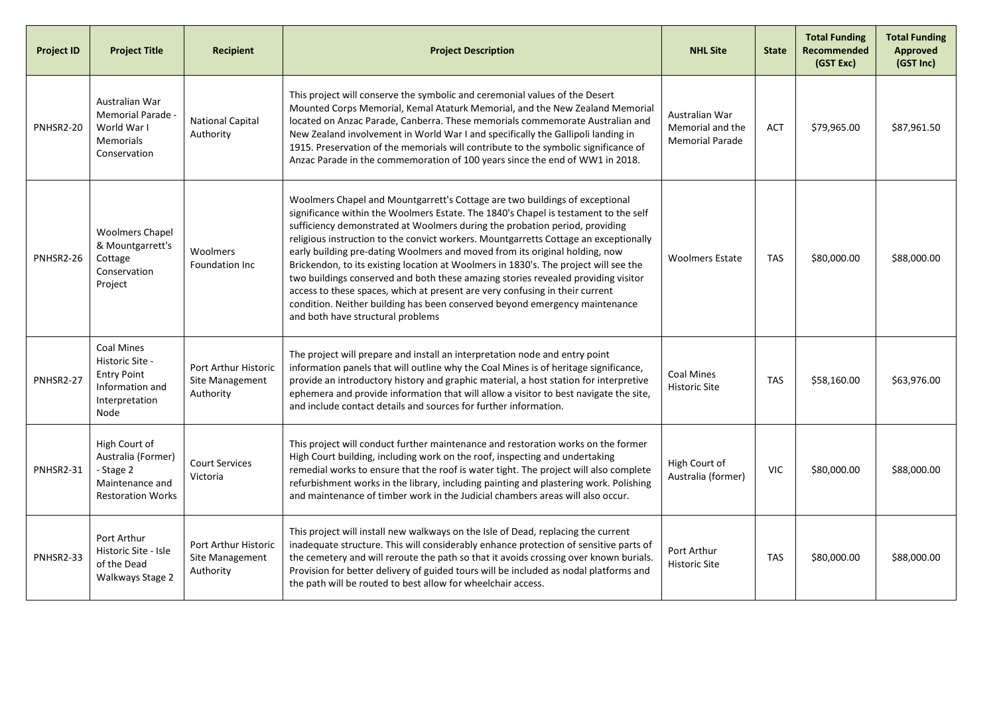| <b>Project ID</b> | <b>Project Title</b>                                                                                    | <b>Recipient</b>                                     | <b>Project Description</b>                                                                                                                                                                                                                                                                                                                                                                                                                                                                                                                                                                                                                                                                                                                                                                                | <b>NHL Site</b>                                              | <b>State</b> | <b>Total Funding</b><br>Recommended<br>(GST Exc) | <b>Total Funding</b><br><b>Approved</b><br>(GST Inc) |
|-------------------|---------------------------------------------------------------------------------------------------------|------------------------------------------------------|-----------------------------------------------------------------------------------------------------------------------------------------------------------------------------------------------------------------------------------------------------------------------------------------------------------------------------------------------------------------------------------------------------------------------------------------------------------------------------------------------------------------------------------------------------------------------------------------------------------------------------------------------------------------------------------------------------------------------------------------------------------------------------------------------------------|--------------------------------------------------------------|--------------|--------------------------------------------------|------------------------------------------------------|
| PNHSR2-20         | Australian War<br>Memorial Parade -<br>World War I<br><b>Memorials</b><br>Conservation                  | <b>National Capital</b><br>Authority                 | This project will conserve the symbolic and ceremonial values of the Desert<br>Mounted Corps Memorial, Kemal Ataturk Memorial, and the New Zealand Memorial<br>located on Anzac Parade, Canberra. These memorials commemorate Australian and<br>New Zealand involvement in World War I and specifically the Gallipoli landing in<br>1915. Preservation of the memorials will contribute to the symbolic significance of<br>Anzac Parade in the commemoration of 100 years since the end of WW1 in 2018.                                                                                                                                                                                                                                                                                                   | Australian War<br>Memorial and the<br><b>Memorial Parade</b> | <b>ACT</b>   | \$79,965.00                                      | \$87,961.50                                          |
| PNHSR2-26         | <b>Woolmers Chapel</b><br>& Mountgarrett's<br>Cottage<br>Conservation<br>Project                        | Woolmers<br>Foundation Inc                           | Woolmers Chapel and Mountgarrett's Cottage are two buildings of exceptional<br>significance within the Woolmers Estate. The 1840's Chapel is testament to the self<br>sufficiency demonstrated at Woolmers during the probation period, providing<br>religious instruction to the convict workers. Mountgarretts Cottage an exceptionally<br>early building pre-dating Woolmers and moved from its original holding, now<br>Brickendon, to its existing location at Woolmers in 1830's. The project will see the<br>two buildings conserved and both these amazing stories revealed providing visitor<br>access to these spaces, which at present are very confusing in their current<br>condition. Neither building has been conserved beyond emergency maintenance<br>and both have structural problems | <b>Woolmers Estate</b>                                       | <b>TAS</b>   | \$80,000.00                                      | \$88,000.00                                          |
| PNHSR2-27         | <b>Coal Mines</b><br>Historic Site -<br><b>Entry Point</b><br>Information and<br>Interpretation<br>Node | Port Arthur Historic<br>Site Management<br>Authority | The project will prepare and install an interpretation node and entry point<br>information panels that will outline why the Coal Mines is of heritage significance,<br>provide an introductory history and graphic material, a host station for interpretive<br>ephemera and provide information that will allow a visitor to best navigate the site,<br>and include contact details and sources for further information.                                                                                                                                                                                                                                                                                                                                                                                 | <b>Coal Mines</b><br><b>Historic Site</b>                    | <b>TAS</b>   | \$58,160.00                                      | \$63,976.00                                          |
| PNHSR2-31         | High Court of<br>Australia (Former)<br>- Stage 2<br>Maintenance and<br><b>Restoration Works</b>         | <b>Court Services</b><br>Victoria                    | This project will conduct further maintenance and restoration works on the former<br>High Court building, including work on the roof, inspecting and undertaking<br>remedial works to ensure that the roof is water tight. The project will also complete<br>refurbishment works in the library, including painting and plastering work. Polishing<br>and maintenance of timber work in the Judicial chambers areas will also occur.                                                                                                                                                                                                                                                                                                                                                                      | High Court of<br>Australia (former)                          | <b>VIC</b>   | \$80,000.00                                      | \$88,000.00                                          |
| PNHSR2-33         | Port Arthur<br>Historic Site - Isle<br>of the Dead<br>Walkways Stage 2                                  | Port Arthur Historic<br>Site Management<br>Authority | This project will install new walkways on the Isle of Dead, replacing the current<br>inadequate structure. This will considerably enhance protection of sensitive parts of<br>the cemetery and will reroute the path so that it avoids crossing over known burials.<br>Provision for better delivery of guided tours will be included as nodal platforms and<br>the path will be routed to best allow for wheelchair access.                                                                                                                                                                                                                                                                                                                                                                              | Port Arthur<br><b>Historic Site</b>                          | <b>TAS</b>   | \$80,000.00                                      | \$88,000.00                                          |